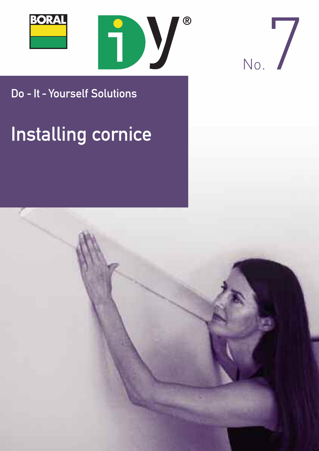





### Do - It - Yourself Solutions

# **Installing cornice**

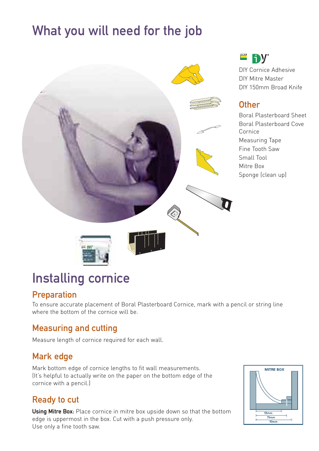# What you will need for the job



# Installing cornice

#### Preparation

To ensure accurate placement of Boral Plasterboard Cornice, mark with a pencil or string line where the bottom of the cornice will be.

### Measuring and cutting

Measure length of cornice required for each wall.

#### Mark edge

Mark bottom edge of cornice lengths to fit wall measurements. (It's helpful to actually write on the paper on the bottom edge of the cornice with a pencil.)

#### Ready to cut

Using Mitre Box: Place cornice in mitre box upside down so that the bottom edge is uppermost in the box. Cut with a push pressure only. Use only a fine tooth saw.



**DURAL** 

DIY Cornice Adhesive DIY Mitre Master DIY 150mm Broad Knife

#### **Other**

Boral Plasterboard Sheet Boral Plasterboard Cove Cornice Measuring Tape Fine Tooth Saw Small Tool Mitre Box Sponge (clean up)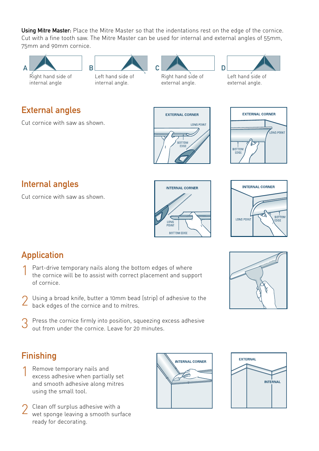Using Mitre Master: Place the Mitre Master so that the indentations rest on the edge of the cornice. Cut with a fine tooth saw. The Mitre Master can be used for internal and external angles of 55mm, 75mm and 90mm cornice.



#### Internal angles

Cut cornice with saw as shown.





### Application

- Part-drive temporary nails along the bottom edges of where the cornice will be to assist with correct placement and support of cornice.
- 2 Using a broad knife, butter a 10mm bead (strip) of adhesive to the back edges of the cornice and to mitres.
- $3$  Press the cornice firmly into position, squeezing excess adhesive out from under the cornice. Leave for 20 minutes.



### Finishing

- Remove temporary nails and excess adhesive when partially set and smooth adhesive along mitres using the small tool.
- 2 Clean off surplus adhesive with a<br>wet sponge leaving a smooth surface ready for decorating.